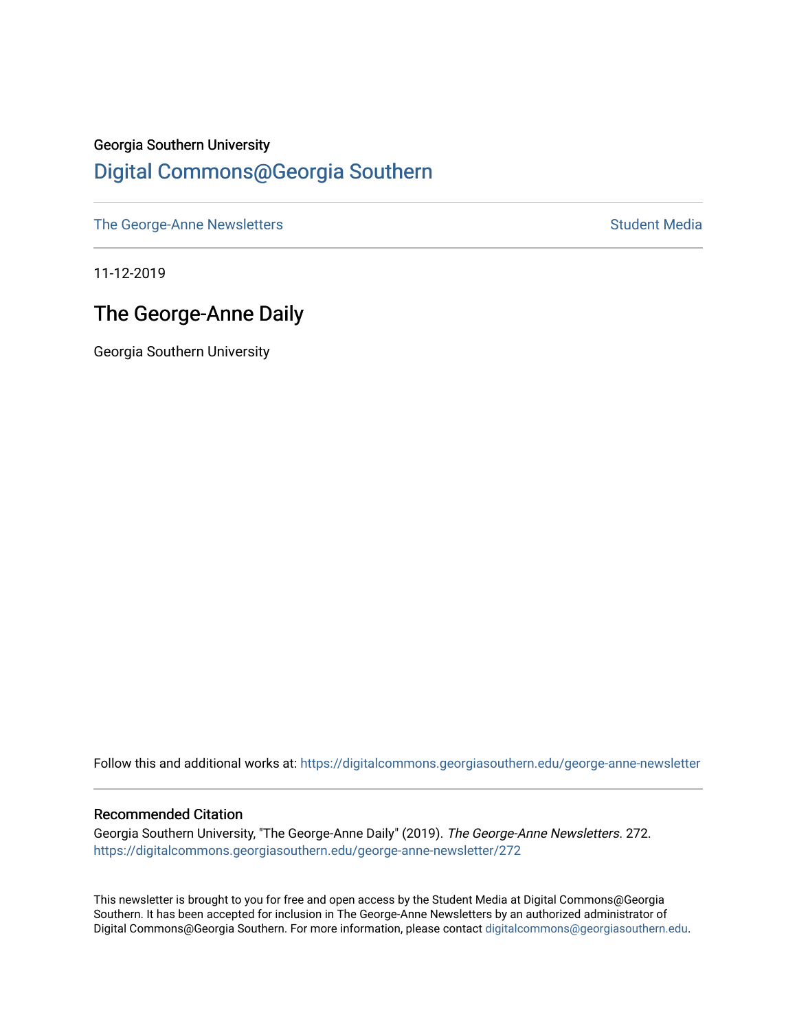## Georgia Southern University [Digital Commons@Georgia Southern](https://digitalcommons.georgiasouthern.edu/)

[The George-Anne Newsletters](https://digitalcommons.georgiasouthern.edu/george-anne-newsletter) **Student Media** Student Media

11-12-2019

## The George-Anne Daily

Georgia Southern University

Follow this and additional works at: [https://digitalcommons.georgiasouthern.edu/george-anne-newsletter](https://digitalcommons.georgiasouthern.edu/george-anne-newsletter?utm_source=digitalcommons.georgiasouthern.edu%2Fgeorge-anne-newsletter%2F272&utm_medium=PDF&utm_campaign=PDFCoverPages)

#### Recommended Citation

Georgia Southern University, "The George-Anne Daily" (2019). The George-Anne Newsletters. 272. [https://digitalcommons.georgiasouthern.edu/george-anne-newsletter/272](https://digitalcommons.georgiasouthern.edu/george-anne-newsletter/272?utm_source=digitalcommons.georgiasouthern.edu%2Fgeorge-anne-newsletter%2F272&utm_medium=PDF&utm_campaign=PDFCoverPages) 

This newsletter is brought to you for free and open access by the Student Media at Digital Commons@Georgia Southern. It has been accepted for inclusion in The George-Anne Newsletters by an authorized administrator of Digital Commons@Georgia Southern. For more information, please contact [digitalcommons@georgiasouthern.edu.](mailto:digitalcommons@georgiasouthern.edu)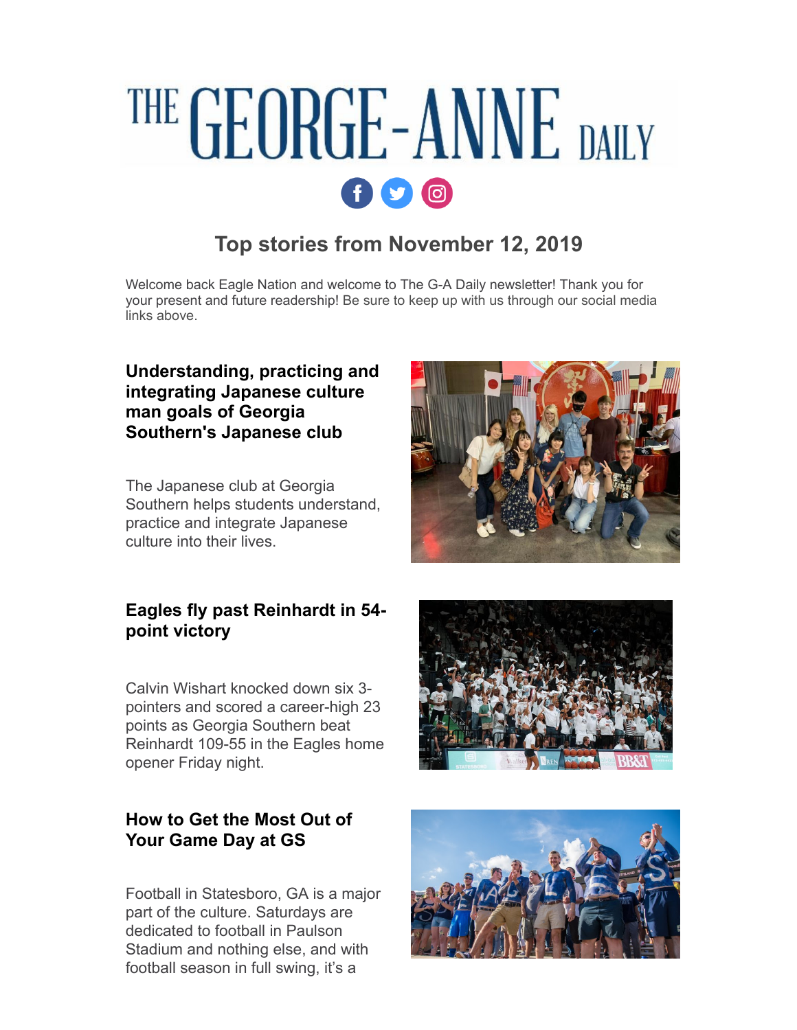# THE GEORGE-ANNE DAILY  $\mathbf{f}$   $\mathbf{O}$   $\mathbf{O}$

## **Top stories from November 12, 2019**

Welcome back Eagle Nation and welcome to The G-A Daily newsletter! Thank you for your present and future readership! Be sure to keep up with us through our social media links above.

## **[Understanding, practicing and](http://r20.rs6.net/tn.jsp?f=00142XM8oaBeco68R44SKoCix88nz3clF2Bhg99CGVSDf_2b9GI1hPCFkaSybZelJeT5HB_HH59NacUP81wd2VoML0CdfDbfumo0OKzrAORb_2y8DJr_RECiPZlIehYBIZGmwI4Qz65Abkwu1R_u7CgUM9-XDOkFi7oB8ukuCkEnH8MOLk-0k6ZdWiO-SYlNeE0ygighiKx2AiJQWzi4cipETbe0-SgU6CZ&c=0JnxLkvhIkqdNPxzaQlq0AuIqZ_ecOEFkODMGLMNJyMxUMTsdt7zHA==&ch=3p6ybOoa1BZqUBeLasUvRDOYFbIEt8pE1akKqsR2H_dwBGnSj5Ja0A==) integrating Japanese culture man goals of Georgia Southern's Japanese club**

The Japanese club at Georgia Southern helps students understand, practice and integrate Japanese culture into their lives.

### **[Eagles fly past Reinhardt in 54](http://r20.rs6.net/tn.jsp?f=00142XM8oaBeco68R44SKoCix88nz3clF2Bhg99CGVSDf_2b9GI1hPCFkaSybZelJeTLFmjGIgZbIf4fT8-FX_HJ4RNkX6YdSp_R5cduXwZZsjshaupxoJlOgE4sa5rBMnD1gdtukQzeItfb5Jtuc4JYC4nBuT4-m7zX4HdgNBanw0DKW3rFpTlQp6GN5tySYMEFg3SHdeCqbsOteMPtiAShDuUpzIS_cmQ5bt8-m54_AE=&c=0JnxLkvhIkqdNPxzaQlq0AuIqZ_ecOEFkODMGLMNJyMxUMTsdt7zHA==&ch=3p6ybOoa1BZqUBeLasUvRDOYFbIEt8pE1akKqsR2H_dwBGnSj5Ja0A==) point victory**

Calvin Wishart knocked down six 3 pointers and scored a career-high 23 points as Georgia Southern beat Reinhardt 109-55 in the Eagles home opener Friday night.

## **[How to Get the Most Out of](http://r20.rs6.net/tn.jsp?f=00142XM8oaBeco68R44SKoCix88nz3clF2Bhg99CGVSDf_2b9GI1hPCFkaSybZelJeTLQlLJ5VpyUXg7ZtI4zkkn-5IelyH1lqHz7Tyln9a-ivgoT07R4lzqExNKAGlrUskvOTSfFkusTerxHI0CJsE7Fyzp3gHQgHfojm3gdK9fOzySD0NVkJV0hUimU_r5Lp5cm6V9250I5k4wVv0nN2MNw==&c=0JnxLkvhIkqdNPxzaQlq0AuIqZ_ecOEFkODMGLMNJyMxUMTsdt7zHA==&ch=3p6ybOoa1BZqUBeLasUvRDOYFbIEt8pE1akKqsR2H_dwBGnSj5Ja0A==) Your Game Day at GS**

Football in Statesboro, GA is a major part of the culture. Saturdays are dedicated to football in Paulson Stadium and nothing else, and with football season in full swing, it's a